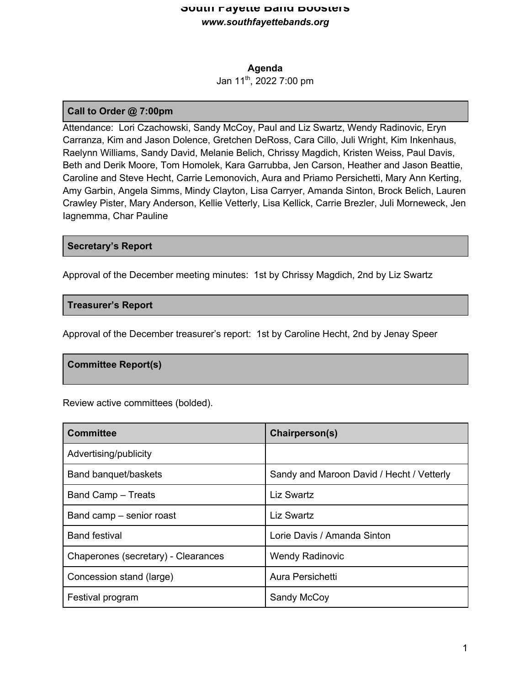## **South Fayette Band Boosters** *www.southfayettebands.org*

#### **Agenda**

Jan 11th, 2022 7:00 pm

## **Call to Order @ 7:00pm**

Attendance: Lori Czachowski, Sandy McCoy, Paul and Liz Swartz, Wendy Radinovic, Eryn Carranza, Kim and Jason Dolence, Gretchen DeRoss, Cara Cillo, Juli Wright, Kim Inkenhaus, Raelynn Williams, Sandy David, Melanie Belich, Chrissy Magdich, Kristen Weiss, Paul Davis, Beth and Derik Moore, Tom Homolek, Kara Garrubba, Jen Carson, Heather and Jason Beattie, Caroline and Steve Hecht, Carrie Lemonovich, Aura and Priamo Persichetti, Mary Ann Kerting, Amy Garbin, Angela Simms, Mindy Clayton, Lisa Carryer, Amanda Sinton, Brock Belich, Lauren Crawley Pister, Mary Anderson, Kellie Vetterly, Lisa Kellick, Carrie Brezler, Juli Morneweck, Jen Iagnemma, Char Pauline

### **Secretary's Report**

Approval of the December meeting minutes: 1st by Chrissy Magdich, 2nd by Liz Swartz

### **Treasurer's Report**

Approval of the December treasurer's report: 1st by Caroline Hecht, 2nd by Jenay Speer

### **Committee Report(s)**

Review active committees (bolded).

| <b>Committee</b>                    | Chairperson(s)                            |
|-------------------------------------|-------------------------------------------|
| Advertising/publicity               |                                           |
| Band banquet/baskets                | Sandy and Maroon David / Hecht / Vetterly |
| Band Camp - Treats                  | <b>Liz Swartz</b>                         |
| Band camp – senior roast            | Liz Swartz                                |
| <b>Band festival</b>                | Lorie Davis / Amanda Sinton               |
| Chaperones (secretary) - Clearances | <b>Wendy Radinovic</b>                    |
| Concession stand (large)            | Aura Persichetti                          |
| Festival program                    | Sandy McCoy                               |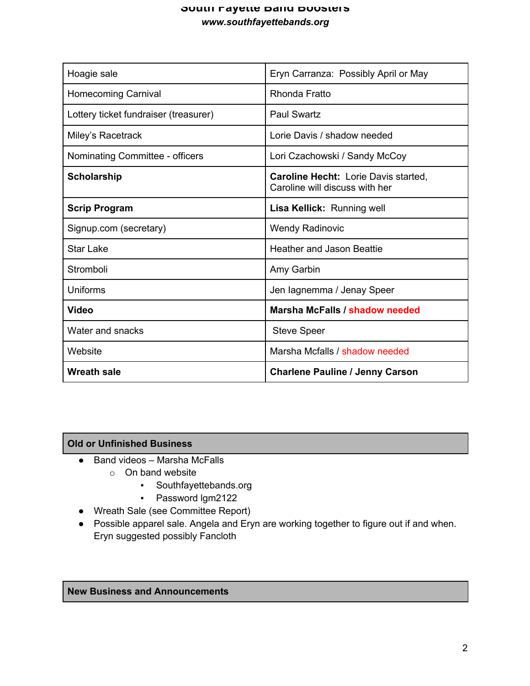# **South Fayette Band Boosters** *www.southfayettebands.org*

| Hoagie sale                           | Eryn Carranza: Possibly April or May                                          |
|---------------------------------------|-------------------------------------------------------------------------------|
| <b>Homecoming Carnival</b>            | Rhonda Fratto                                                                 |
| Lottery ticket fundraiser (treasurer) | <b>Paul Swartz</b>                                                            |
| Miley's Racetrack                     | Lorie Davis / shadow needed                                                   |
| Nominating Committee - officers       | Lori Czachowski / Sandy McCoy                                                 |
| <b>Scholarship</b>                    | <b>Caroline Hecht: Lorie Davis started,</b><br>Caroline will discuss with her |
| <b>Scrip Program</b>                  | Lisa Kellick: Running well                                                    |
| Signup.com (secretary)                | <b>Wendy Radinovic</b>                                                        |
| Star Lake                             | <b>Heather and Jason Beattie</b>                                              |
| Stromboli                             | Amy Garbin                                                                    |
| Uniforms                              | Jen lagnemma / Jenay Speer                                                    |
| <b>Video</b>                          | Marsha McFalls / shadow needed                                                |
| Water and snacks                      | <b>Steve Speer</b>                                                            |
| Website                               | Marsha Mcfalls / shadow needed                                                |
| <b>Wreath sale</b>                    | <b>Charlene Pauline / Jenny Carson</b>                                        |

# **Old or Unfinished Business**

- Band videos Marsha McFalls
	- o On band website
		- Southfayettebands.org
		- Password lgm2122
- Wreath Sale (see Committee Report)
- Possible apparel sale. Angela and Eryn are working together to figure out if and when. Eryn suggested possibly Fancloth

## **New Business and Announcements**